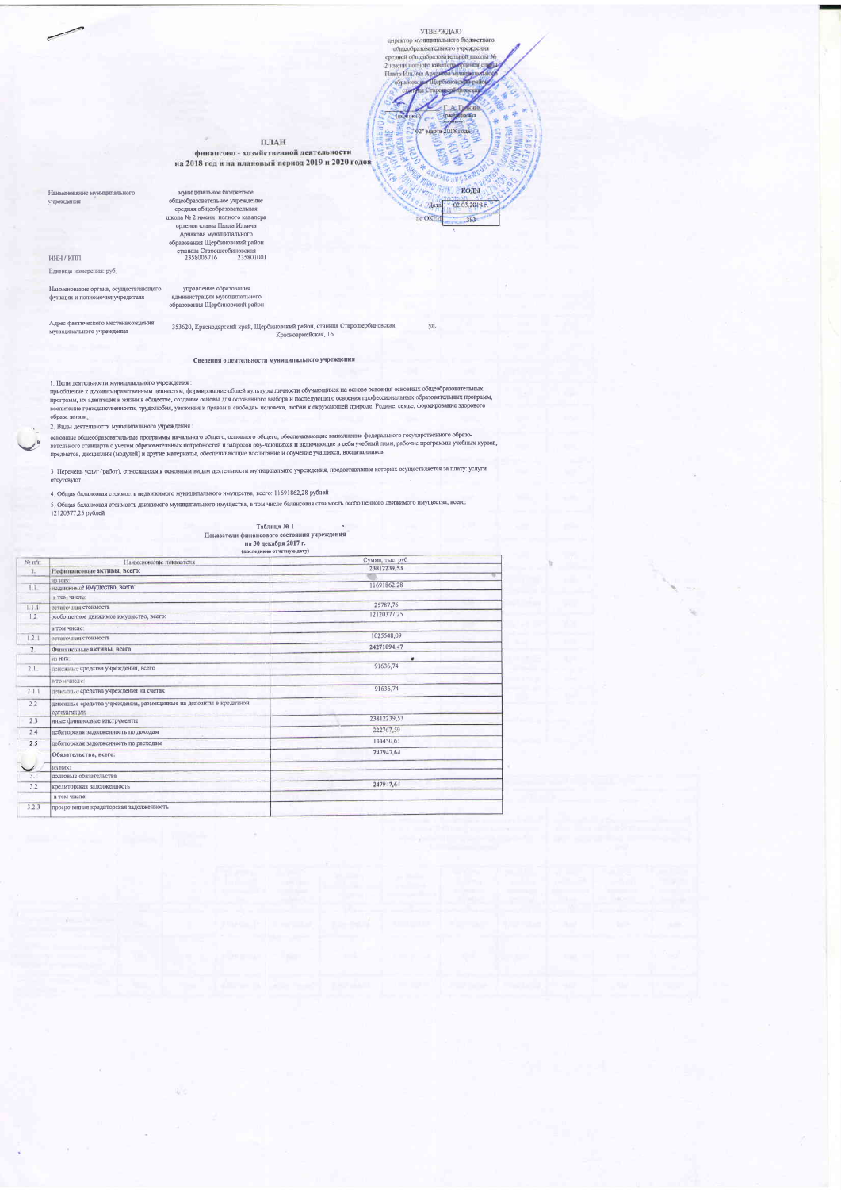$\label{thm:VIBEP} \begin{minipage}{0.9\textwidth} \begin{tabular}{c} \multicolumn{2}{c}{\textbf{NIBEPWJADO}} \\ \multicolumn{2}{c}{\textbf{MIPBWODB} \end{tabular} \end{minipage}$ 

B

**Hara** no OKEM

ул.

колы

02 03 2018 1

383

средней общеобразовател 2 имени п **CONTROLLO KILL** Hanna Huntein A **Gopt** 

 $\Pi\mathcal{J}\mathbf{AH}$ 

финансово - хозяйственной деятельности на 2018 год и на плановый период 2019 и 2020 годов

Наименование муниципациого учреждения

мунавлавльное бюджетное<br>общеобразовательное учреждение средняя общеобразовательное учреждение<br>инхола № 2 лиени: полного казалера<br>ордено слова Мунаципального<br>Арчакова мунаципального образования IIIербинопский район<br>станци

 $MHH/KTIII$ Единица измерения: руб.

Наименование органа, осуществляющего<br>функции и полномочия учредителя

управление образования<br>администрации муниципального<br>образования Щербиновский район

А лоес фактического местонахождения муниципального учреждения

353620, Краснодарский край, Щербиновский район, станица Старощербиновская, Красноармейская, 16

Сведения о деятельности муниципального учреждения

1. Цели деятельности муниципального учреждения :<br>приобщение к духовно-правственным ценностим, формирование общей культуры личности обучающихся на основе освоения основных общеобразовательных<br>программ, их адаптация к жизни

2. Виды деятельности муниципального учреждения:

в социались от процессивным и упременным.<br>основные общеобразовательные программы начального общего, основного общего, обеспечивающие выполнение федерального государственного образо-<br>вательного стандарта с учетом образоват

3. Перечень услуг (работ), относящихся к основным видам деятельности муниципальнго учреждения, предоставление которых осуществляется за плату: услуги<br>отсутсвуют

. Общая балансовая стоимость индивимамого муниципального имущества, всего: 11691862,28 рублей<br>3. Общая балансовая стоимость движного муниципального имущества, в том числе балансовая стоимость особо ценного движныего имуще

 $\frac{165}{165}$  Показатели финансового состояния учреждения<br>на 30 лекабря 2017 г.

|  | Ha Ju Herappa soll is             |  |
|--|-----------------------------------|--|
|  | $(n_0e$ sequing of very via $n_0$ |  |

| $N$ <sup>2</sup> IVII | Наименование показателя                                                                  | Сумма, тыс. руб. |  |
|-----------------------|------------------------------------------------------------------------------------------|------------------|--|
| т.                    | Нефинансовые активы, всего:                                                              | 23812239,53      |  |
|                       | B3 HRS                                                                                   |                  |  |
| 1.1.                  | нединжимое имущество, всего:                                                             | 11691862.28      |  |
|                       | и том числе:                                                                             |                  |  |
| 1.1.1.                | остаточныя стоимость                                                                     | 25787.76         |  |
| 12                    | особо ценное движимое имущество, всего:                                                  | 12120377,25      |  |
|                       | и том числе:                                                                             |                  |  |
| 121                   | остаточная стоимость                                                                     | 1025548.09       |  |
| 2                     | Финансовые активы, всего                                                                 | 24271094.47      |  |
|                       | H3 HHX                                                                                   | ٠                |  |
| 2.1.                  | денежные средства учреждения, всего                                                      | 91636,74         |  |
|                       | в том числе:                                                                             |                  |  |
| 2.1.1                 | денелные средства учреждения на счетах                                                   | 91636,74         |  |
| 2.2                   | денежные средства учреждения, размещенные на депозиты в кредитной<br><b>NNTRHM381UMM</b> |                  |  |
| 2.3                   | иные финансовые инструменты                                                              | 23812239.53      |  |
| 2.4                   | дебиторская задолженность по доходам                                                     | 222767,59        |  |
| 25                    | дебиторская задолженность по расходам                                                    | 144450,61        |  |
|                       | Обязательства, всего:                                                                    | 247947.64        |  |
|                       | H3 HHX                                                                                   |                  |  |
| 3.1                   | лолговые обязательства                                                                   |                  |  |
| 3.2                   | кредиторская задолженность                                                               | 247947.64        |  |
|                       | в том числе:                                                                             |                  |  |
| 3.2.3                 | просроченная кредиторская задолженность                                                  |                  |  |
|                       |                                                                                          |                  |  |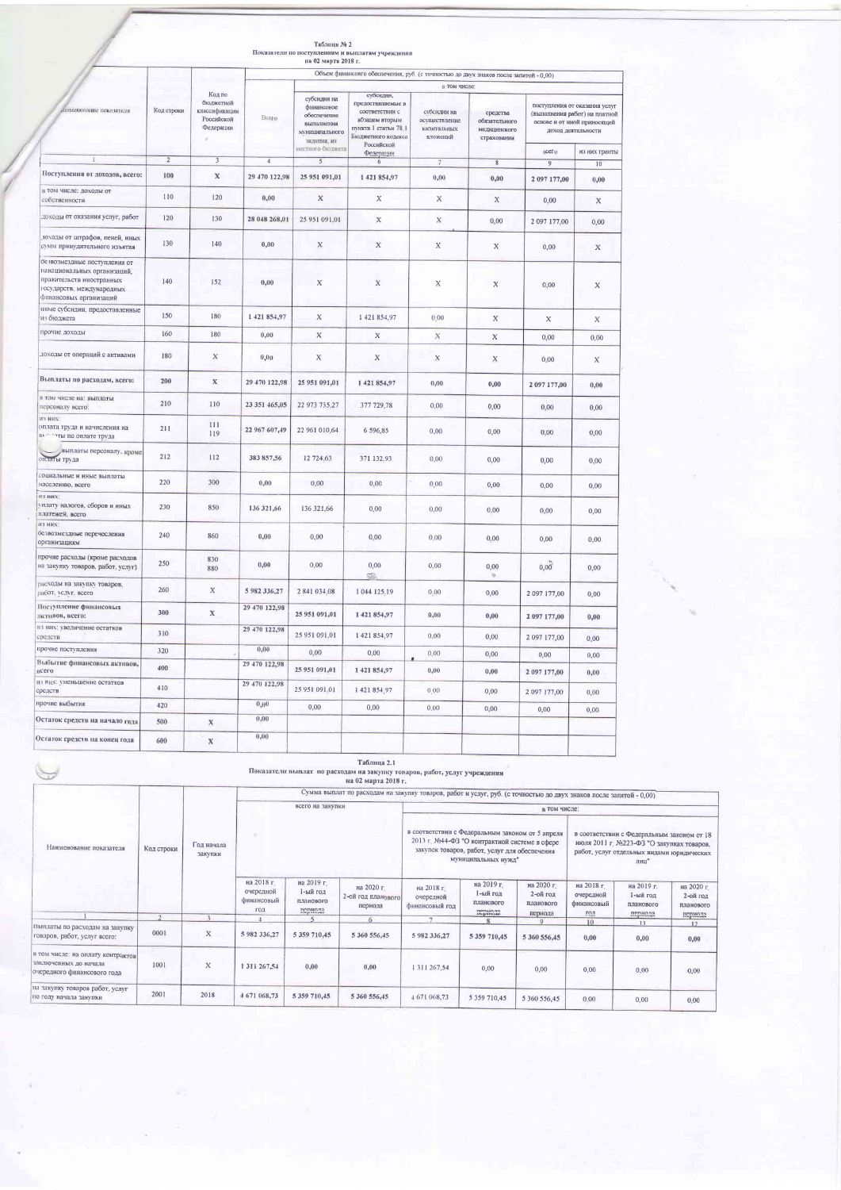|                                                                                                                                                 |                |                                                                 |                                                                                                      | на 02 марта 2018 г.                                                                                         | Показатели по поступлениям и выплатам учреждения                                                                               |                                                         |                                                          |                |                                                                                                                                      |
|-------------------------------------------------------------------------------------------------------------------------------------------------|----------------|-----------------------------------------------------------------|------------------------------------------------------------------------------------------------------|-------------------------------------------------------------------------------------------------------------|--------------------------------------------------------------------------------------------------------------------------------|---------------------------------------------------------|----------------------------------------------------------|----------------|--------------------------------------------------------------------------------------------------------------------------------------|
|                                                                                                                                                 |                |                                                                 |                                                                                                      |                                                                                                             |                                                                                                                                |                                                         |                                                          |                |                                                                                                                                      |
|                                                                                                                                                 |                |                                                                 | Объем финансовго обеспечения, руб. (с точностью до двух знаков после запятой - 0,00)<br>в том числе: |                                                                                                             |                                                                                                                                |                                                         |                                                          |                |                                                                                                                                      |
| лименование показателя                                                                                                                          | Код строки     | Код по<br>бюджетной<br>классификации<br>Российской<br>Федерации | Bcero                                                                                                | субсилия на<br>финансовое<br>обеспечение<br>выполнения<br>муниципального<br>залания, из<br>местного бюджета | субсидии,<br>Предоставляемые в<br>соответствии с<br>абзацем вторым<br>пункта 1 статьи 78,1<br>Бюджетного кодекса<br>Российской | субсилии на<br>осуществление<br>капитальных<br>вложений | средства<br>обязательного<br>медицинского<br>страхования | всего          | поступления от оказания услуг<br>(выполнения работ) на платной<br>основе и от иной приносящей<br>доход деятельности<br>из них гранты |
|                                                                                                                                                 | $\overline{2}$ | $\sqrt{3}$                                                      | $\overline{4}$                                                                                       | $\mathfrak{s}$                                                                                              | Федерации<br>6                                                                                                                 | $\tau$                                                  | 8                                                        | $\overline{9}$ | 10                                                                                                                                   |
| Поступления от доходов, всего:                                                                                                                  | 100            | $\mathbf x$                                                     | 29 470 122,98                                                                                        | 25 951 091,01                                                                                               | 1421854,97                                                                                                                     | 0,00                                                    | $_{0,00}$                                                | 2 097 177,00   | 0,00                                                                                                                                 |
| в том числе: доходы от<br>собственности                                                                                                         | 110            | 120                                                             | 0,00                                                                                                 | X                                                                                                           | X                                                                                                                              | X                                                       | $\mathbf x$                                              | 0,00           | X                                                                                                                                    |
| доходы от оказания услуг, работ                                                                                                                 | 120            | 130                                                             | 28 048 268,01                                                                                        | 25 951 091,01                                                                                               | X                                                                                                                              | $\mathbf X$                                             | 0,00                                                     | 2 097 177,00   | 0,00                                                                                                                                 |
| 10ходы от штрафов, пеней, иных<br>сумм принудительного изъятия                                                                                  | 130            | 140                                                             | 0,00                                                                                                 | $\mathbf x$                                                                                                 | $\mathbf X$                                                                                                                    | $\mathbf x$                                             | X                                                        | 0,00           | $\mathbf x$                                                                                                                          |
| ое изозмездные поступления от<br>нанациональных организаций,<br>правительств иностранных<br>государств, международных<br>финансовых организаций | 140            | 152                                                             | 0,00                                                                                                 | $\mathbf X$                                                                                                 | X                                                                                                                              | Х                                                       | X                                                        | 0,00           | X                                                                                                                                    |
| нные субсидии, предоставленные<br>из бюджета                                                                                                    | 150            | 180                                                             | 1421854,97                                                                                           | X                                                                                                           | 1421854,97                                                                                                                     | 0.00                                                    | $\mathbf X$                                              | X              | X                                                                                                                                    |
| прочие доходы                                                                                                                                   | 160            | 180                                                             | 0,00                                                                                                 | X                                                                                                           | X                                                                                                                              | $\mathbf X$                                             | $\boldsymbol{\mathsf{X}}$                                | 0,00           | 0,00                                                                                                                                 |
| лоходы от операций с активами                                                                                                                   | 180            | $\mathbf X$                                                     | 0.00                                                                                                 | X                                                                                                           | X                                                                                                                              | $\mathbf x$                                             | X                                                        | 0,00           | $\mathbf X$                                                                                                                          |
| Выплаты по расходам, всего:                                                                                                                     | 200            | $\mathbf x$                                                     | 29 470 122,98                                                                                        | 25 951 091,01                                                                                               | 1421854,97                                                                                                                     | 0,00                                                    | 0,00                                                     | 2 097 177,00   | 0,00                                                                                                                                 |
| в том числе на: выплаты<br>персоналу всего:                                                                                                     | 210            | 110                                                             | 23 351 465,05                                                                                        | 22 973 735,27                                                                                               | 377 729,78                                                                                                                     | 0,00                                                    | 0,00                                                     | 0,00           | 0,00                                                                                                                                 |
| <b>R3 HBX</b><br>оплата труда и начисления на<br>вы эти по оплате труда                                                                         | 211            | 111<br>119                                                      | 22 967 607,49                                                                                        | 22 961 010,64                                                                                               | 6 596,85                                                                                                                       | 0,00                                                    | 0,00                                                     | 0,00           | 0,00                                                                                                                                 |
| выплаты персоналу, кроме<br>оплаты труда                                                                                                        | 212            | 112                                                             | 383 857,56                                                                                           | 12 724,63                                                                                                   | 371 132.93                                                                                                                     | 0,00                                                    | 0,00                                                     | 0,00           | 0,00                                                                                                                                 |
| социальные и иные выплаты<br>населению, всего                                                                                                   | 220            | 300                                                             | 0,00                                                                                                 | 0,00                                                                                                        | 0.00                                                                                                                           | 0.00                                                    | 0,00                                                     | 0,00           | 0.00                                                                                                                                 |
| <b>ITS HHA</b><br>уплату налогов, сборов и иных<br>платежей, всего                                                                              | 230            | 850                                                             | 136 321,66                                                                                           | 136 321,66                                                                                                  | 0.00                                                                                                                           | 0,00                                                    | 0,00                                                     | 0,00           | 0,00                                                                                                                                 |
| <b>IB HHX</b><br>безвозмездные перечесления<br>организациям                                                                                     | 240            | 860                                                             | 0,00                                                                                                 | 0,00                                                                                                        | 0,00                                                                                                                           | 0,00                                                    | 0,00                                                     | 0,00           | 0.00                                                                                                                                 |
| прочие расходы (кроме расходов<br>на закупку товаров, работ, услуг)                                                                             | 250            | 830<br>880                                                      | 0,00                                                                                                 | 0,00                                                                                                        | 0,00                                                                                                                           | 0,00                                                    | 0,00                                                     | 0,00           | 0,00                                                                                                                                 |
| расходы на закупку товаров,<br>работ, услуг, всего                                                                                              | 260            | X                                                               | 5 982 336,27                                                                                         | 2841034,08                                                                                                  | 1 044 125,19                                                                                                                   | 0,00                                                    | 0,00                                                     | 2 097 177,00   | 0,00                                                                                                                                 |
| Поступление финансовых<br>активов, всего:                                                                                                       | 300            | $\mathbb X$                                                     | 29 470 122,98                                                                                        | 25 951 091,01                                                                                               | 1421854,97                                                                                                                     | 0,00                                                    | $_{0,00}$                                                | 2 097 177,00   | 0,00                                                                                                                                 |
| из них: увеличение остатков<br>средств                                                                                                          | 310            |                                                                 | 29 470 122,98                                                                                        | 25 951 091,01                                                                                               | 1421854,97                                                                                                                     | 0,00                                                    | 0,00                                                     | 2 097 177,00   | 0,00                                                                                                                                 |
| прочие поступления                                                                                                                              | 320            |                                                                 | 0,00                                                                                                 | 0,00                                                                                                        | 0,00                                                                                                                           | 0,00                                                    | 0,00                                                     | 0,00           | 0,00                                                                                                                                 |
| Выбытие финансовых активов,<br>нсего                                                                                                            | 400            |                                                                 | 29 470 122,98                                                                                        | 25 951 091,01                                                                                               | 1421854,97                                                                                                                     | 0,00                                                    | 0,00                                                     | 2 097 177,00   | 0,00                                                                                                                                 |
| из них: уменьшение остатков<br>средств                                                                                                          | 410            |                                                                 | 29 470 122,98                                                                                        | 25 951 091,01                                                                                               | 1421854,97                                                                                                                     | 0.00                                                    | 0,00                                                     | 2 097 177,00   | 0,00                                                                                                                                 |
| прочие выбытия                                                                                                                                  | 420            |                                                                 | 0,00                                                                                                 | 0,00                                                                                                        | 0,00                                                                                                                           | 0,00                                                    | 0,00                                                     | 0,00           | 0,00                                                                                                                                 |
| Остаток средств на начало года                                                                                                                  | 500            | $\mathbf X$                                                     | 0,00                                                                                                 |                                                                                                             |                                                                                                                                |                                                         |                                                          |                |                                                                                                                                      |
| Остаток средств на конец года                                                                                                                   | 600            | $\mathbb X$                                                     | 0,00                                                                                                 |                                                                                                             |                                                                                                                                |                                                         |                                                          |                |                                                                                                                                      |

## .<br>Таблица № 2

.<br> Показатели выплат по расходам на закупку товаров, работ, услуг учреждения на 02 марта 2018 г.

|                                                                                           |            |                       |                                                                                                                                                                                                                                                                                                                           |                                                | Сумма выплат по расходам на закупку товаров, работ и услуг, руб. (с точностью до двух знаков после запятой - 0,00) |                                           |                                                |                                                |                                              |                                     |                                     |
|-------------------------------------------------------------------------------------------|------------|-----------------------|---------------------------------------------------------------------------------------------------------------------------------------------------------------------------------------------------------------------------------------------------------------------------------------------------------------------------|------------------------------------------------|--------------------------------------------------------------------------------------------------------------------|-------------------------------------------|------------------------------------------------|------------------------------------------------|----------------------------------------------|-------------------------------------|-------------------------------------|
|                                                                                           |            |                       | всего на закупки                                                                                                                                                                                                                                                                                                          |                                                | в том числе:                                                                                                       |                                           |                                                |                                                |                                              |                                     |                                     |
| Наименование показателя                                                                   | Код строки | Год начала<br>закупки | в соответствии с Федеральным законом от 5 апреля<br>в соответствии с Федеральным законом от 18<br>2013 г. №44-ФЗ "О контрактной системе в сфере<br>июля 2011 г. №223-ФЗ "О закупках товаров,<br>закупок товаров, работ, услуг для обеспечения<br>работ, услуг отдельных видами юридических<br>муниципальных нужд"<br>лиц" |                                                |                                                                                                                    |                                           |                                                |                                                |                                              |                                     |                                     |
|                                                                                           |            |                       | на 2018 г.<br>очередной<br>финансовый<br>ГОД                                                                                                                                                                                                                                                                              | на 2019 г.<br>1-ый год<br>планового<br>периола | на 2020 г.<br>2-ой год планового<br>периода                                                                        | на 2018 г.<br>очередной<br>финансовый год | на 2019 г.<br>1-ый год<br>планового<br>периода | на 2020 г.<br>2-ой год<br>планового<br>пернода | на 2018 г.<br>очередной<br>финансовый<br>год | на 2019 г.<br>1-ый год<br>планового | на 2020 г.<br>2-ой год<br>планового |
|                                                                                           |            |                       |                                                                                                                                                                                                                                                                                                                           |                                                | 61                                                                                                                 |                                           |                                                | $\Omega$                                       |                                              | периода                             | периода                             |
| Выплаты по расходам на закупку<br>товаров, работ, услуг всего:                            | 0001       | $\mathbf x$           | 5 982 336.27                                                                                                                                                                                                                                                                                                              | 5 359 710,45                                   | 5 360 556,45                                                                                                       | 5 982 336.27                              | 5 359 710,45                                   | 5 360 556,45                                   | $10^{\circ}$<br>0.00                         | 11<br>0,00                          | 12<br>0,00                          |
| в том числе: на оплату контрактов<br>заключенных до начала<br>очередного финансового года | 1001       | X                     | 1 311 267.54                                                                                                                                                                                                                                                                                                              | 0,00                                           | 0,00                                                                                                               | 1 3 1 1 2 6 7 , 5 4                       | 0.00                                           | 0,00                                           | 0,00                                         | 0.00                                | 0,00                                |
| на закупку товаров работ, услуг<br>по году начала закупки                                 | 2001       | 2018                  | 4671068,73                                                                                                                                                                                                                                                                                                                | 5 359 710.45                                   | 5 360 556,45                                                                                                       | 4671068.73                                | 5 359 710.45                                   | 5 360 556.45                                   | 0.00                                         | 0.00                                | 0.00                                |